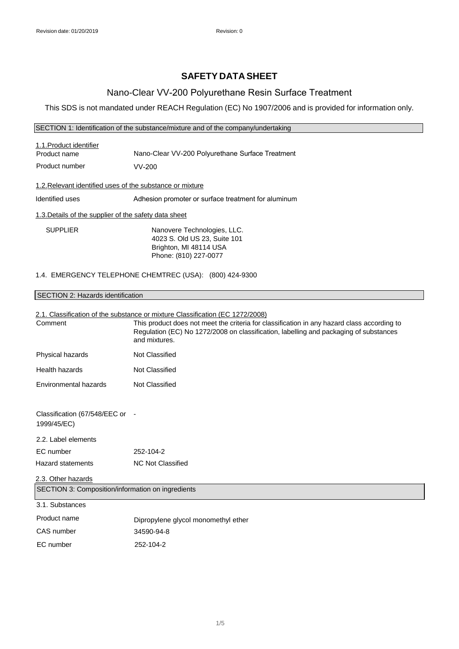# **SAFETY DATA SHEET**

## Nano-Clear VV-200 Polyurethane Resin Surface Treatment

This SDS is not mandated under REACH Regulation (EC) No 1907/2006 and is provided for information only.

### SECTION 1: Identification of the substance/mixture and of the company/undertaking

| 1.1.Product identifier<br>Product name                    | Nano-Clear VV-200 Polyurethane Surface Treatment    |  |
|-----------------------------------------------------------|-----------------------------------------------------|--|
| Product number                                            | $VV-200$                                            |  |
| 1.2. Relevant identified uses of the substance or mixture |                                                     |  |
| Identified uses                                           | Adhesion promoter or surface treatment for aluminum |  |
| 1.3. Details of the supplier of the safety data sheet     |                                                     |  |
| <b>SUPPLIER</b>                                           | Nanovere Technologies, LLC.                         |  |

SUPPLIER Nanovere Technologies, LLC. 4023 S. Old US 23, Suite 101 Brighton, MI 48114 USA Phone: (810) 227-0077

### 1.4. EMERGENCY TELEPHONE CHEMTREC (USA): (800) 424-9300

## SECTION 2: Hazards identification

## 2.1. Classification of the substance or mixture Classification (EC 1272/2008)

| Comment                                           | This product does not meet the criteria for classification in any hazard class according to<br>Regulation (EC) No 1272/2008 on classification, labelling and packaging of substances<br>and mixtures. |
|---------------------------------------------------|-------------------------------------------------------------------------------------------------------------------------------------------------------------------------------------------------------|
| Physical hazards                                  | <b>Not Classified</b>                                                                                                                                                                                 |
| Health hazards                                    | Not Classified                                                                                                                                                                                        |
| Environmental hazards                             | Not Classified                                                                                                                                                                                        |
|                                                   |                                                                                                                                                                                                       |
| Classification (67/548/EEC or<br>1999/45/EC)      | $\overline{\phantom{a}}$                                                                                                                                                                              |
| 2.2. Label elements                               |                                                                                                                                                                                                       |
| EC number                                         | 252-104-2                                                                                                                                                                                             |
| <b>Hazard statements</b>                          | <b>NC Not Classified</b>                                                                                                                                                                              |
| 2.3. Other hazards                                |                                                                                                                                                                                                       |
| SECTION 3: Composition/information on ingredients |                                                                                                                                                                                                       |
| 3.1. Substances                                   |                                                                                                                                                                                                       |
| Product name                                      | Dipropylene glycol monomethyl ether                                                                                                                                                                   |
| CAS number                                        | 34590-94-8                                                                                                                                                                                            |
| EC number                                         | 252-104-2                                                                                                                                                                                             |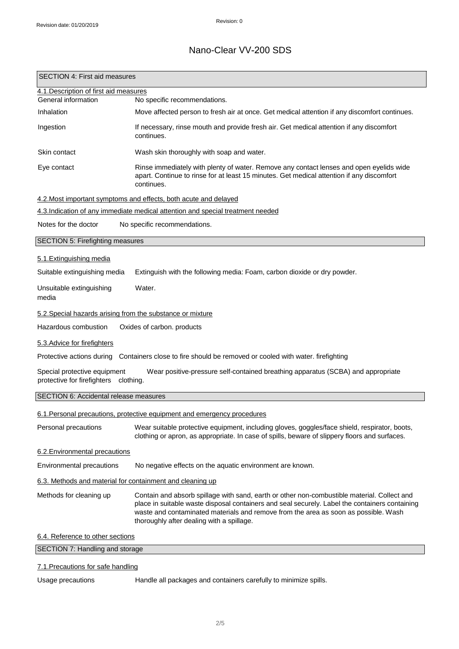# Nano-Clear VV-200 SDS

| 4.1. Description of first aid measures<br>General information<br>No specific recommendations.<br>Inhalation<br>Move affected person to fresh air at once. Get medical attention if any discomfort continues.<br>Ingestion<br>If necessary, rinse mouth and provide fresh air. Get medical attention if any discomfort<br>continues.<br>Wash skin thoroughly with soap and water.<br>Skin contact<br>Rinse immediately with plenty of water. Remove any contact lenses and open eyelids wide<br>Eye contact<br>apart. Continue to rinse for at least 15 minutes. Get medical attention if any discomfort<br>continues.<br>4.2. Most important symptoms and effects, both acute and delayed<br>4.3.Indication of any immediate medical attention and special treatment needed<br>Notes for the doctor<br>No specific recommendations.<br>SECTION 5: Firefighting measures<br>5.1. Extinguishing media<br>Suitable extinguishing media<br>Extinguish with the following media: Foam, carbon dioxide or dry powder.<br>Water.<br>media<br>5.2. Special hazards arising from the substance or mixture<br>Oxides of carbon. products<br>5.3. Advice for firefighters<br>Protective actions during Containers close to fire should be removed or cooled with water. firefighting<br>Special protective equipment<br>Wear positive-pressure self-contained breathing apparatus (SCBA) and appropriate<br>protective for firefighters clothing.<br>6.1. Personal precautions, protective equipment and emergency procedures<br>Wear suitable protective equipment, including gloves, goggles/face shield, respirator, boots,<br>clothing or apron, as appropriate. In case of spills, beware of slippery floors and surfaces.<br>Environmental precautions<br>No negative effects on the aquatic environment are known.<br>6.3. Methods and material for containment and cleaning up<br>Contain and absorb spillage with sand, earth or other non-combustible material. Collect and<br>place in suitable waste disposal containers and seal securely. Label the containers containing<br>waste and contaminated materials and remove from the area as soon as possible. Wash<br>thoroughly after dealing with a spillage.<br>SECTION 7: Handling and storage | <b>SECTION 4: First aid measures</b>   |  |
|-----------------------------------------------------------------------------------------------------------------------------------------------------------------------------------------------------------------------------------------------------------------------------------------------------------------------------------------------------------------------------------------------------------------------------------------------------------------------------------------------------------------------------------------------------------------------------------------------------------------------------------------------------------------------------------------------------------------------------------------------------------------------------------------------------------------------------------------------------------------------------------------------------------------------------------------------------------------------------------------------------------------------------------------------------------------------------------------------------------------------------------------------------------------------------------------------------------------------------------------------------------------------------------------------------------------------------------------------------------------------------------------------------------------------------------------------------------------------------------------------------------------------------------------------------------------------------------------------------------------------------------------------------------------------------------------------------------------------------------------------------------------------------------------------------------------------------------------------------------------------------------------------------------------------------------------------------------------------------------------------------------------------------------------------------------------------------------------------------------------------------------------------------------------------------------------------------------------------------------------------------|----------------------------------------|--|
|                                                                                                                                                                                                                                                                                                                                                                                                                                                                                                                                                                                                                                                                                                                                                                                                                                                                                                                                                                                                                                                                                                                                                                                                                                                                                                                                                                                                                                                                                                                                                                                                                                                                                                                                                                                                                                                                                                                                                                                                                                                                                                                                                                                                                                                     |                                        |  |
|                                                                                                                                                                                                                                                                                                                                                                                                                                                                                                                                                                                                                                                                                                                                                                                                                                                                                                                                                                                                                                                                                                                                                                                                                                                                                                                                                                                                                                                                                                                                                                                                                                                                                                                                                                                                                                                                                                                                                                                                                                                                                                                                                                                                                                                     |                                        |  |
|                                                                                                                                                                                                                                                                                                                                                                                                                                                                                                                                                                                                                                                                                                                                                                                                                                                                                                                                                                                                                                                                                                                                                                                                                                                                                                                                                                                                                                                                                                                                                                                                                                                                                                                                                                                                                                                                                                                                                                                                                                                                                                                                                                                                                                                     |                                        |  |
|                                                                                                                                                                                                                                                                                                                                                                                                                                                                                                                                                                                                                                                                                                                                                                                                                                                                                                                                                                                                                                                                                                                                                                                                                                                                                                                                                                                                                                                                                                                                                                                                                                                                                                                                                                                                                                                                                                                                                                                                                                                                                                                                                                                                                                                     |                                        |  |
|                                                                                                                                                                                                                                                                                                                                                                                                                                                                                                                                                                                                                                                                                                                                                                                                                                                                                                                                                                                                                                                                                                                                                                                                                                                                                                                                                                                                                                                                                                                                                                                                                                                                                                                                                                                                                                                                                                                                                                                                                                                                                                                                                                                                                                                     |                                        |  |
|                                                                                                                                                                                                                                                                                                                                                                                                                                                                                                                                                                                                                                                                                                                                                                                                                                                                                                                                                                                                                                                                                                                                                                                                                                                                                                                                                                                                                                                                                                                                                                                                                                                                                                                                                                                                                                                                                                                                                                                                                                                                                                                                                                                                                                                     |                                        |  |
|                                                                                                                                                                                                                                                                                                                                                                                                                                                                                                                                                                                                                                                                                                                                                                                                                                                                                                                                                                                                                                                                                                                                                                                                                                                                                                                                                                                                                                                                                                                                                                                                                                                                                                                                                                                                                                                                                                                                                                                                                                                                                                                                                                                                                                                     |                                        |  |
|                                                                                                                                                                                                                                                                                                                                                                                                                                                                                                                                                                                                                                                                                                                                                                                                                                                                                                                                                                                                                                                                                                                                                                                                                                                                                                                                                                                                                                                                                                                                                                                                                                                                                                                                                                                                                                                                                                                                                                                                                                                                                                                                                                                                                                                     |                                        |  |
|                                                                                                                                                                                                                                                                                                                                                                                                                                                                                                                                                                                                                                                                                                                                                                                                                                                                                                                                                                                                                                                                                                                                                                                                                                                                                                                                                                                                                                                                                                                                                                                                                                                                                                                                                                                                                                                                                                                                                                                                                                                                                                                                                                                                                                                     |                                        |  |
|                                                                                                                                                                                                                                                                                                                                                                                                                                                                                                                                                                                                                                                                                                                                                                                                                                                                                                                                                                                                                                                                                                                                                                                                                                                                                                                                                                                                                                                                                                                                                                                                                                                                                                                                                                                                                                                                                                                                                                                                                                                                                                                                                                                                                                                     |                                        |  |
|                                                                                                                                                                                                                                                                                                                                                                                                                                                                                                                                                                                                                                                                                                                                                                                                                                                                                                                                                                                                                                                                                                                                                                                                                                                                                                                                                                                                                                                                                                                                                                                                                                                                                                                                                                                                                                                                                                                                                                                                                                                                                                                                                                                                                                                     |                                        |  |
|                                                                                                                                                                                                                                                                                                                                                                                                                                                                                                                                                                                                                                                                                                                                                                                                                                                                                                                                                                                                                                                                                                                                                                                                                                                                                                                                                                                                                                                                                                                                                                                                                                                                                                                                                                                                                                                                                                                                                                                                                                                                                                                                                                                                                                                     |                                        |  |
|                                                                                                                                                                                                                                                                                                                                                                                                                                                                                                                                                                                                                                                                                                                                                                                                                                                                                                                                                                                                                                                                                                                                                                                                                                                                                                                                                                                                                                                                                                                                                                                                                                                                                                                                                                                                                                                                                                                                                                                                                                                                                                                                                                                                                                                     |                                        |  |
|                                                                                                                                                                                                                                                                                                                                                                                                                                                                                                                                                                                                                                                                                                                                                                                                                                                                                                                                                                                                                                                                                                                                                                                                                                                                                                                                                                                                                                                                                                                                                                                                                                                                                                                                                                                                                                                                                                                                                                                                                                                                                                                                                                                                                                                     | Unsuitable extinguishing               |  |
|                                                                                                                                                                                                                                                                                                                                                                                                                                                                                                                                                                                                                                                                                                                                                                                                                                                                                                                                                                                                                                                                                                                                                                                                                                                                                                                                                                                                                                                                                                                                                                                                                                                                                                                                                                                                                                                                                                                                                                                                                                                                                                                                                                                                                                                     |                                        |  |
|                                                                                                                                                                                                                                                                                                                                                                                                                                                                                                                                                                                                                                                                                                                                                                                                                                                                                                                                                                                                                                                                                                                                                                                                                                                                                                                                                                                                                                                                                                                                                                                                                                                                                                                                                                                                                                                                                                                                                                                                                                                                                                                                                                                                                                                     | Hazardous combustion                   |  |
|                                                                                                                                                                                                                                                                                                                                                                                                                                                                                                                                                                                                                                                                                                                                                                                                                                                                                                                                                                                                                                                                                                                                                                                                                                                                                                                                                                                                                                                                                                                                                                                                                                                                                                                                                                                                                                                                                                                                                                                                                                                                                                                                                                                                                                                     |                                        |  |
|                                                                                                                                                                                                                                                                                                                                                                                                                                                                                                                                                                                                                                                                                                                                                                                                                                                                                                                                                                                                                                                                                                                                                                                                                                                                                                                                                                                                                                                                                                                                                                                                                                                                                                                                                                                                                                                                                                                                                                                                                                                                                                                                                                                                                                                     |                                        |  |
|                                                                                                                                                                                                                                                                                                                                                                                                                                                                                                                                                                                                                                                                                                                                                                                                                                                                                                                                                                                                                                                                                                                                                                                                                                                                                                                                                                                                                                                                                                                                                                                                                                                                                                                                                                                                                                                                                                                                                                                                                                                                                                                                                                                                                                                     |                                        |  |
|                                                                                                                                                                                                                                                                                                                                                                                                                                                                                                                                                                                                                                                                                                                                                                                                                                                                                                                                                                                                                                                                                                                                                                                                                                                                                                                                                                                                                                                                                                                                                                                                                                                                                                                                                                                                                                                                                                                                                                                                                                                                                                                                                                                                                                                     | SECTION 6: Accidental release measures |  |
|                                                                                                                                                                                                                                                                                                                                                                                                                                                                                                                                                                                                                                                                                                                                                                                                                                                                                                                                                                                                                                                                                                                                                                                                                                                                                                                                                                                                                                                                                                                                                                                                                                                                                                                                                                                                                                                                                                                                                                                                                                                                                                                                                                                                                                                     |                                        |  |
|                                                                                                                                                                                                                                                                                                                                                                                                                                                                                                                                                                                                                                                                                                                                                                                                                                                                                                                                                                                                                                                                                                                                                                                                                                                                                                                                                                                                                                                                                                                                                                                                                                                                                                                                                                                                                                                                                                                                                                                                                                                                                                                                                                                                                                                     | Personal precautions                   |  |
|                                                                                                                                                                                                                                                                                                                                                                                                                                                                                                                                                                                                                                                                                                                                                                                                                                                                                                                                                                                                                                                                                                                                                                                                                                                                                                                                                                                                                                                                                                                                                                                                                                                                                                                                                                                                                                                                                                                                                                                                                                                                                                                                                                                                                                                     | 6.2. Environmental precautions         |  |
|                                                                                                                                                                                                                                                                                                                                                                                                                                                                                                                                                                                                                                                                                                                                                                                                                                                                                                                                                                                                                                                                                                                                                                                                                                                                                                                                                                                                                                                                                                                                                                                                                                                                                                                                                                                                                                                                                                                                                                                                                                                                                                                                                                                                                                                     |                                        |  |
|                                                                                                                                                                                                                                                                                                                                                                                                                                                                                                                                                                                                                                                                                                                                                                                                                                                                                                                                                                                                                                                                                                                                                                                                                                                                                                                                                                                                                                                                                                                                                                                                                                                                                                                                                                                                                                                                                                                                                                                                                                                                                                                                                                                                                                                     |                                        |  |
|                                                                                                                                                                                                                                                                                                                                                                                                                                                                                                                                                                                                                                                                                                                                                                                                                                                                                                                                                                                                                                                                                                                                                                                                                                                                                                                                                                                                                                                                                                                                                                                                                                                                                                                                                                                                                                                                                                                                                                                                                                                                                                                                                                                                                                                     | Methods for cleaning up                |  |
|                                                                                                                                                                                                                                                                                                                                                                                                                                                                                                                                                                                                                                                                                                                                                                                                                                                                                                                                                                                                                                                                                                                                                                                                                                                                                                                                                                                                                                                                                                                                                                                                                                                                                                                                                                                                                                                                                                                                                                                                                                                                                                                                                                                                                                                     | 6.4. Reference to other sections       |  |
|                                                                                                                                                                                                                                                                                                                                                                                                                                                                                                                                                                                                                                                                                                                                                                                                                                                                                                                                                                                                                                                                                                                                                                                                                                                                                                                                                                                                                                                                                                                                                                                                                                                                                                                                                                                                                                                                                                                                                                                                                                                                                                                                                                                                                                                     |                                        |  |

## 7.1.Precautions for safe handling

Usage precautions **Handle all packages and containers carefully to minimize spills.**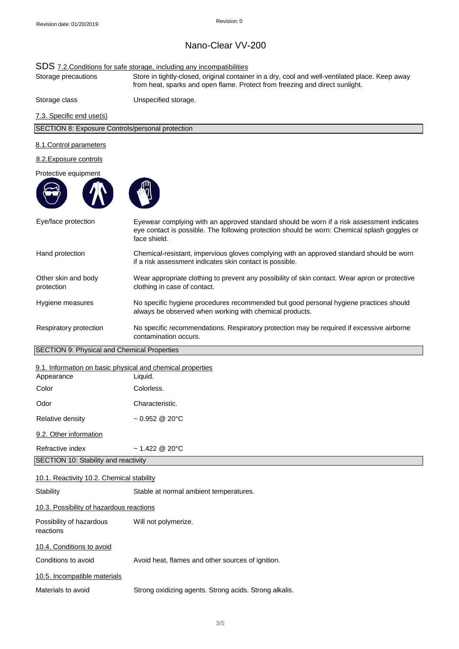# Nano-Clear VV-200

## SDS 7.2. Conditions for safe storage, including any incompatibilities

Storage precautions Store in tightly-closed, original container in a dry, cool and well-ventilated place. Keep away from heat, sparks and open flame. Protect from freezing and direct sunlight.

Storage class Unspecified storage.

7.3. Specific end use(s)

SECTION 8: Exposure Controls/personal protection

#### 8.1.Control parameters

#### 8.2.Exposure controls





| Eye/face protection                                        | Eyewear complying with an approved standard should be worn if a risk assessment indicates<br>eye contact is possible. The following protection should be worn: Chemical splash goggles or<br>face shield. |
|------------------------------------------------------------|-----------------------------------------------------------------------------------------------------------------------------------------------------------------------------------------------------------|
| Hand protection                                            | Chemical-resistant, impervious gloves complying with an approved standard should be worn<br>if a risk assessment indicates skin contact is possible.                                                      |
| Other skin and body<br>protection                          | Wear appropriate clothing to prevent any possibility of skin contact. Wear apron or protective<br>clothing in case of contact.                                                                            |
| Hygiene measures                                           | No specific hygiene procedures recommended but good personal hygiene practices should<br>always be observed when working with chemical products.                                                          |
| Respiratory protection                                     | No specific recommendations. Respiratory protection may be required if excessive airborne<br>contamination occurs.                                                                                        |
| <b>SECTION 9: Physical and Chemical Properties</b>         |                                                                                                                                                                                                           |
| 9.1. Information on basic physical and chemical properties |                                                                                                                                                                                                           |
| Appearance                                                 | Liquid.                                                                                                                                                                                                   |
| Color                                                      | Colorless.                                                                                                                                                                                                |
| Odor                                                       | Characteristic.                                                                                                                                                                                           |

9.2. Other information

Relative density

Refractive index ~ 1.422 @ 20°C

**SECTION 10: Stability and reactivity** 

### 10.1. Reactivity 10.2. Chemical stability

Stability Stable at normal ambient temperatures. 10.3. Possibility of hazardous reactions Possibility of hazardous Will not polymerize. reactions 10.4. Conditions to avoid Conditions to avoid **Avoid heat, flames and other sources of ignition.** 

 $~1$  0.952 @ 20°C

10.5. Incompatible materials

Materials to avoid Strong oxidizing agents. Strong acids. Strong alkalis.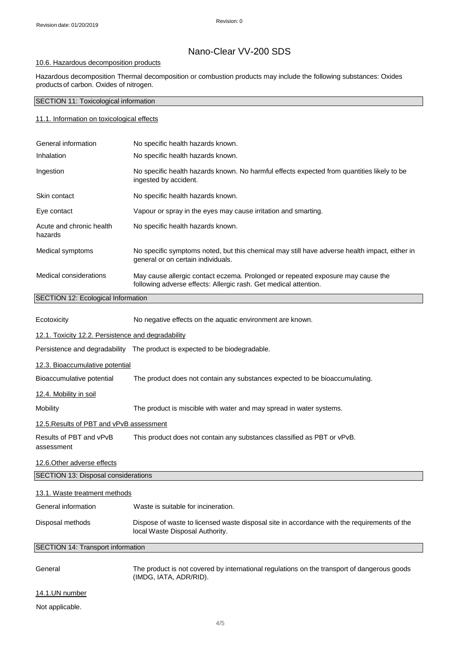# Nano-Clear VV-200 SDS

### 10.6. Hazardous decomposition products

Hazardous decomposition Thermal decomposition or combustion products may include the following substances: Oxides productsof carbon. Oxides of nitrogen.

## SECTION 11: Toxicological information

#### 11.1. Information on toxicological effects

| General information                       | No specific health hazards known.                                                                                                                   |
|-------------------------------------------|-----------------------------------------------------------------------------------------------------------------------------------------------------|
| Inhalation                                | No specific health hazards known.                                                                                                                   |
| Ingestion                                 | No specific health hazards known. No harmful effects expected from quantities likely to be<br>ingested by accident.                                 |
| Skin contact                              | No specific health hazards known.                                                                                                                   |
| Eye contact                               | Vapour or spray in the eyes may cause irritation and smarting.                                                                                      |
| Acute and chronic health<br>hazards       | No specific health hazards known.                                                                                                                   |
| Medical symptoms                          | No specific symptoms noted, but this chemical may still have adverse health impact, either in<br>general or on certain individuals.                 |
| Medical considerations                    | May cause allergic contact eczema. Prolonged or repeated exposure may cause the<br>following adverse effects: Allergic rash. Get medical attention. |
| <b>SECTION 12: Ecological Information</b> |                                                                                                                                                     |

| Ecotoxicity                                        | No negative effects on the aquatic environment are known.                                                                      |  |
|----------------------------------------------------|--------------------------------------------------------------------------------------------------------------------------------|--|
| 12.1. Toxicity 12.2. Persistence and degradability |                                                                                                                                |  |
|                                                    | Persistence and degradability The product is expected to be biodegradable.                                                     |  |
| 12.3. Bioaccumulative potential                    |                                                                                                                                |  |
| Bioaccumulative potential                          | The product does not contain any substances expected to be bioaccumulating.                                                    |  |
| 12.4. Mobility in soil                             |                                                                                                                                |  |
| Mobility                                           | The product is miscible with water and may spread in water systems.                                                            |  |
| 12.5. Results of PBT and vPvB assessment           |                                                                                                                                |  |
| Results of PBT and vPvB<br>assessment              | This product does not contain any substances classified as PBT or vPvB.                                                        |  |
| 12.6. Other adverse effects                        |                                                                                                                                |  |
| SECTION 13: Disposal considerations                |                                                                                                                                |  |
| 13.1. Waste treatment methods                      |                                                                                                                                |  |
| General information                                | Waste is suitable for incineration.                                                                                            |  |
| Disposal methods                                   | Dispose of waste to licensed waste disposal site in accordance with the requirements of the<br>local Waste Disposal Authority. |  |
| SECTION 14: Transport information                  |                                                                                                                                |  |
| General                                            | The product is not covered by international regulations on the transport of dangerous goods<br>(IMDG, IATA, ADR/RID).          |  |
| 14.1.UN number                                     |                                                                                                                                |  |